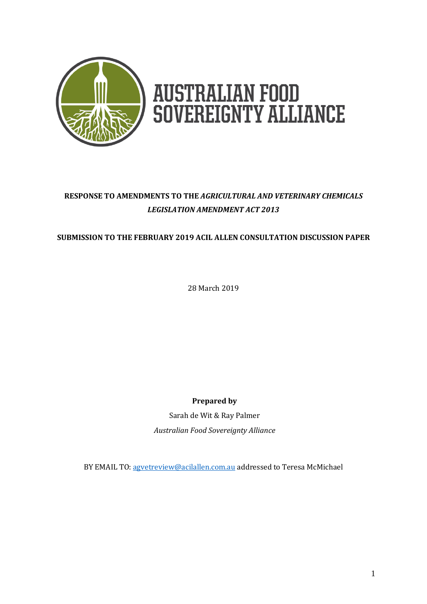

# **AUSTRALIAN FOOD<br>SOVEREIGNTY ALLIANCE**

# **RESPONSE TO AMENDMENTS TO THE** *AGRICULTURAL AND VETERINARY CHEMICALS LEGISLATION AMENDMENT ACT 2013*

# **SUBMISSION TO THE FEBRUARY 2019 ACIL ALLEN CONSULTATION DISCUSSION PAPER**

28 March 2019

**Prepared by**

Sarah de Wit & Ray Palmer *Australian Food Sovereignty Alliance*

BY EMAIL TO[: agvetreview@acilallen.com.au](mailto:agvetreview@acilallen.com.au) addressed to Teresa McMichael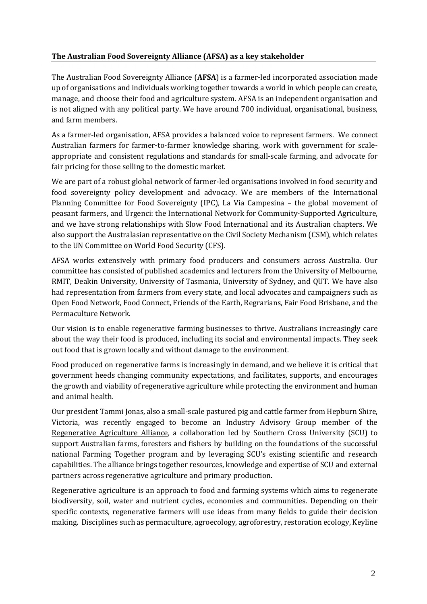# **The Australian Food Sovereignty Alliance (AFSA) as a key stakeholder**

The Australian Food Sovereignty Alliance (**AFSA**) is a farmer-led incorporated association made up of organisations and individuals working together towards a world in which people can create, manage, and choose their food and agriculture system. AFSA is an independent organisation and is not aligned with any political party. We have around 700 individual, organisational, business, and farm members.

As a farmer-led organisation, AFSA provides a balanced voice to represent farmers. We connect Australian farmers for farmer-to-farmer knowledge sharing, work with government for scaleappropriate and consistent regulations and standards for small-scale farming, and advocate for fair pricing for those selling to the domestic market.

We are part of a robust global network of farmer-led organisations involved in food security and food sovereignty policy development and advocacy. We are members of the International Planning Committee for Food Sovereignty (IPC), La Via Campesina – the global movement of peasant farmers, and Urgenci: the International Network for Community-Supported Agriculture, and we have strong relationships with Slow Food International and its Australian chapters. We also support the Australasian representative on the Civil Society Mechanism (CSM), which relates to the UN Committee on World Food Security (CFS).

AFSA works extensively with primary food producers and consumers across Australia. Our committee has consisted of published academics and lecturers from the University of Melbourne, RMIT, Deakin University, University of Tasmania, University of Sydney, and QUT. We have also had representation from farmers from every state, and local advocates and campaigners such as Open Food Network, Food Connect, Friends of the Earth, Regrarians, Fair Food Brisbane, and the Permaculture Network.

Our vision is to enable regenerative farming businesses to thrive. Australians increasingly care about the way their food is produced, including its social and environmental impacts. They seek out food that is grown locally and without damage to the environment.

Food produced on regenerative farms is increasingly in demand, and we believe it is critical that government heeds changing community expectations, and facilitates, supports, and encourages the growth and viability of regenerative agriculture while protecting the environment and human and animal health.

Our president Tammi Jonas, also a small-scale pastured pig and cattle farmer from Hepburn Shire, Victoria, was recently engaged to become an Industry Advisory Group member of the [Regenerative](https://www.facebook.com/regener8ag/?ref=page_internal) Agriculture Alliance, a collaboration led by Southern Cross University (SCU) to support Australian farms, foresters and fishers by building on the foundations of the successful national Farming Together program and by leveraging SCU's existing scientific and research capabilities. The alliance brings together resources, knowledge and expertise of SCU and external partners across regenerative agriculture and primary production.

Regenerative agriculture is an approach to food and farming systems which aims to regenerate biodiversity, soil, water and nutrient cycles, economies and communities. Depending on their specific contexts, regenerative farmers will use ideas from many fields to guide their decision making. Disciplines such as permaculture, agroecology, agroforestry, restoration ecology, Keyline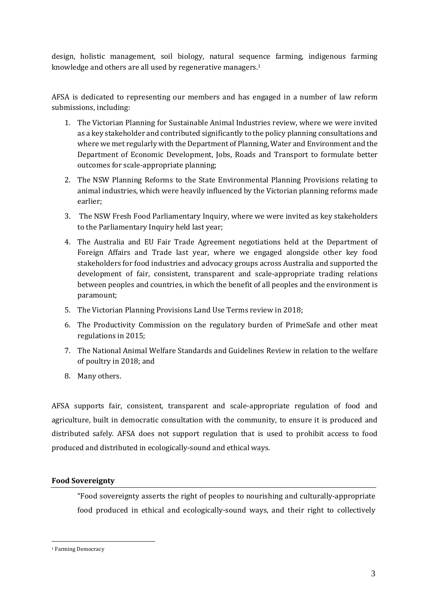design, holistic management, soil biology, natural sequence farming, indigenous farming knowledge and others are all used by regenerative managers.<sup>1</sup>

AFSA is dedicated to representing our members and has engaged in a number of law reform submissions, including:

- 1. The Victorian Planning for Sustainable Animal Industries review, where we were invited as a key stakeholder and contributed significantly to the policy planning consultations and where we met regularly with the Department of Planning, Water and Environment and the Department of Economic Development, Jobs, Roads and Transport to formulate better outcomes for scale-appropriate planning;
- 2. The NSW Planning Reforms to the State Environmental Planning Provisions relating to animal industries, which were heavily influenced by the Victorian planning reforms made earlier;
- 3. The NSW Fresh Food Parliamentary Inquiry, where we were invited as key stakeholders to the Parliamentary Inquiry held last year;
- 4. The Australia and EU Fair Trade Agreement negotiations held at the Department of Foreign Affairs and Trade last year, where we engaged alongside other key food stakeholders for food industries and advocacy groups across Australia and supported the development of fair, consistent, transparent and scale-appropriate trading relations between peoples and countries, in which the benefit of all peoples and the environment is paramount;
- 5. The Victorian Planning Provisions Land Use Terms review in 2018;
- 6. The Productivity Commission on the regulatory burden of PrimeSafe and other meat regulations in 2015;
- 7. The National Animal Welfare Standards and Guidelines Review in relation to the welfare of poultry in 2018; and
- 8. Many others.

AFSA supports fair, consistent, transparent and scale-appropriate regulation of food and agriculture, built in democratic consultation with the community, to ensure it is produced and distributed safely. AFSA does not support regulation that is used to prohibit access to food produced and distributed in ecologically-sound and ethical ways.

## **Food Sovereignty**

"Food sovereignty asserts the right of peoples to nourishing and culturally-appropriate food produced in ethical and ecologically-sound ways, and their right to collectively

<sup>&</sup>lt;sup>1</sup> Farming Democracy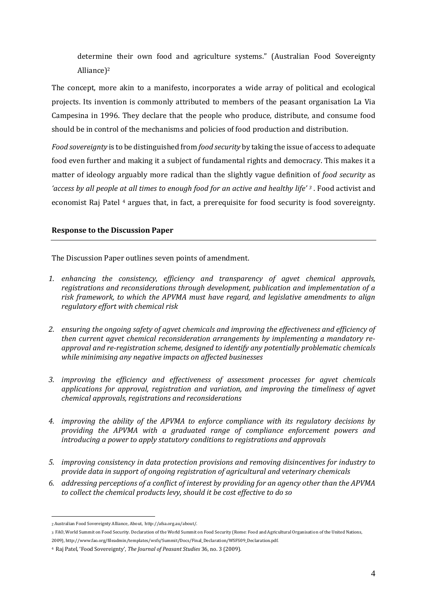determine their own food and agriculture systems." (Australian Food Sovereignty Alliance)<sup>2</sup>

The concept, more akin to a manifesto, incorporates a wide array of political and ecological projects. Its invention is commonly attributed to members of the peasant organisation La Via Campesina in 1996. They declare that the people who produce, distribute, and consume food should be in control of the mechanisms and policies of food production and distribution.

*Food sovereignty* is to be distinguished from *food security* by taking the issue of access to adequate food even further and making it a subject of fundamental rights and democracy. This makes it a matter of ideology arguably more radical than the slightly vague definition of *food security* as *'access by all people at all times to enough food for an active and healthy life' <sup>3</sup>* . Food activist and economist Raj Patel <sup>4</sup> argues that, in fact, a prerequisite for food security is food sovereignty.

## **Response to the Discussion Paper**

The Discussion Paper outlines seven points of amendment.

- *1. enhancing the consistency, efficiency and transparency of agvet chemical approvals, registrations and reconsiderations through development, publication and implementation of a risk framework, to which the APVMA must have regard, and legislative amendments to align regulatory effort with chemical risk*
- *2. ensuring the ongoing safety of agvet chemicals and improving the effectiveness and efficiency of then current agvet chemical reconsideration arrangements by implementing a mandatory reapproval and re-registration scheme, designed to identify any potentially problematic chemicals while minimising any negative impacts on affected businesses*
- *3. improving the efficiency and effectiveness of assessment processes for agvet chemicals applications for approval, registration and variation, and improving the timeliness of agvet chemical approvals, registrations and reconsiderations*
- *4. improving the ability of the APVMA to enforce compliance with its regulatory decisions by providing the APVMA with a graduated range of compliance enforcement powers and introducing a power to apply statutory conditions to registrations and approvals*
- *5. improving consistency in data protection provisions and removing disincentives for industry to provide data in support of ongoing registration of agricultural and veterinary chemicals*
- *6. addressing perceptions of a conflict of interest by providing for an agency other than the APVMA to collect the chemical products levy, should it be cost effective to do so*

<sup>2</sup> Australian Food Sovereignty Alliance, About, http://afsa.org.au/about/.

<sup>3</sup> FAO, World Summit on Food Security. Declaration of the World Summit on Food Security (Rome: Food and Agricultural Organisation of the United Nations, 2009), http://www.fao.org/fileadmin/templates/wsfs/Summit/Docs/Final\_Declaration/WSFS09\_Declaration.pdf.

<sup>4</sup> Raj Patel, 'Food Sovereignty', *The Journal of Peasant Studies* 36, no. 3 (2009).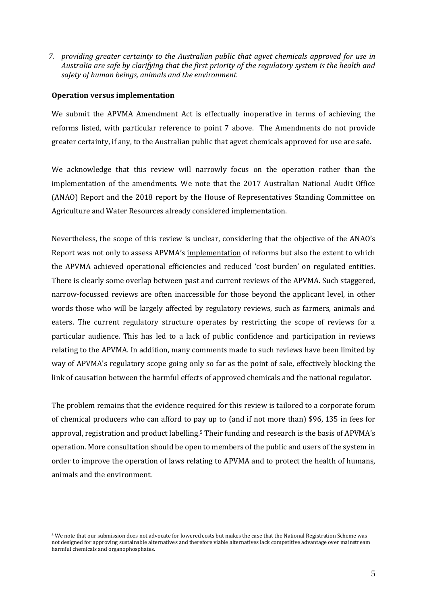*7. providing greater certainty to the Australian public that agvet chemicals approved for use in Australia are safe by clarifying that the first priority of the regulatory system is the health and safety of human beings, animals and the environment.* 

#### **Operation versus implementation**

 $\overline{a}$ 

We submit the APVMA Amendment Act is effectually inoperative in terms of achieving the reforms listed, with particular reference to point 7 above. The Amendments do not provide greater certainty, if any, to the Australian public that agvet chemicals approved for use are safe.

We acknowledge that this review will narrowly focus on the operation rather than the implementation of the amendments. We note that the 2017 Australian National Audit Office (ANAO) Report and the 2018 report by the House of Representatives Standing Committee on Agriculture and Water Resources already considered implementation.

Nevertheless, the scope of this review is unclear, considering that the objective of the ANAO's Report was not only to assess APVMA's implementation of reforms but also the extent to which the APVMA achieved **operational** efficiencies and reduced 'cost burden' on regulated entities. There is clearly some overlap between past and current reviews of the APVMA. Such staggered, narrow-focussed reviews are often inaccessible for those beyond the applicant level, in other words those who will be largely affected by regulatory reviews, such as farmers, animals and eaters. The current regulatory structure operates by restricting the scope of reviews for a particular audience. This has led to a lack of public confidence and participation in reviews relating to the APVMA. In addition, many comments made to such reviews have been limited by way of APVMA's regulatory scope going only so far as the point of sale, effectively blocking the link of causation between the harmful effects of approved chemicals and the national regulator.

The problem remains that the evidence required for this review is tailored to a corporate forum of chemical producers who can afford to pay up to (and if not more than) \$96, 135 in fees for approval, registration and product labelling.<sup>5</sup> Their funding and research is the basis of APVMA's operation. More consultation should be open to members of the public and users of the system in order to improve the operation of laws relating to APVMA and to protect the health of humans, animals and the environment.

<sup>5</sup> We note that our submission does not advocate for lowered costs but makes the case that the National Registration Scheme was not designed for approving sustainable alternatives and therefore viable alternatives lack competitive advantage over mainstream harmful chemicals and organophosphates.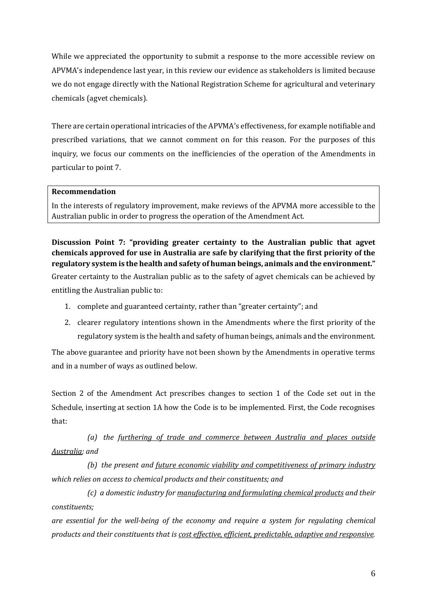While we appreciated the opportunity to submit a response to the more accessible review on APVMA's independence last year, in this review our evidence as stakeholders is limited because we do not engage directly with the National Registration Scheme for agricultural and veterinary chemicals (agvet chemicals).

There are certain operational intricacies of the APVMA's effectiveness, for example notifiable and prescribed variations, that we cannot comment on for this reason. For the purposes of this inquiry, we focus our comments on the inefficiencies of the operation of the Amendments in particular to point 7.

### **Recommendation**

In the interests of regulatory improvement, make reviews of the APVMA more accessible to the Australian public in order to progress the operation of the Amendment Act.

# **Discussion Point 7: "providing greater certainty to the Australian public that agvet chemicals approved for use in Australia are safe by clarifying that the first priority of the regulatory system is the health and safety of human beings, animals and the environment."**

Greater certainty to the Australian public as to the safety of agvet chemicals can be achieved by entitling the Australian public to:

- 1. complete and guaranteed certainty, rather than "greater certainty"; and
- 2. clearer regulatory intentions shown in the Amendments where the first priority of the regulatory system is the health and safety of human beings, animals and the environment.

The above guarantee and priority have not been shown by the Amendments in operative terms and in a number of ways as outlined below.

Section 2 of the Amendment Act prescribes changes to section 1 of the Code set out in the Schedule, inserting at section 1A how the Code is to be implemented. First, the Code recognises that:

*(a) the furthering of trade and commerce between Australia and places outside Australia; and*

*(b) the present and future economic viability and competitiveness of primary industry which relies on access to chemical products and their constituents; and*

*(c) a domestic industry for manufacturing and formulating chemical products and their constituents;*

*are essential for the well-being of the economy and require a system for regulating chemical products and their constituents that is cost effective, efficient, predictable, adaptive and responsive.*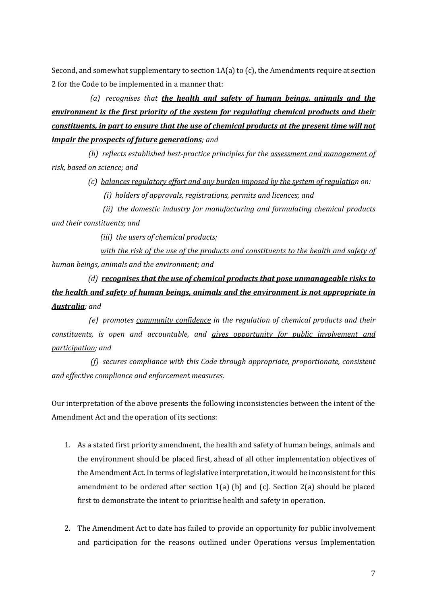Second, and somewhat supplementary to section  $1A(a)$  to (c), the Amendments require at section 2 for the Code to be implemented in a manner that:

 *(a) recognises that the health and safety of human beings, animals and the environment is the first priority of the system for regulating chemical products and their constituents, in part to ensure that the use of chemical products at the present time will not impair the prospects of future generations; and*

 *(b) reflects established best-practice principles for the assessment and management of risk, based on science; and*

 *(c) balances regulatory effort and any burden imposed by the system of regulation on:*

 *(i) holders of approvals, registrations, permits and licences; and*

 *(ii) the domestic industry for manufacturing and formulating chemical products and their constituents; and*

 *(iii) the users of chemical products;*

 *with the risk of the use of the products and constituents to the health and safety of human beings, animals and the environment; and*

 *(d) recognises that the use of chemical products that pose unmanageable risks to the health and safety of human beings, animals and the environment is not appropriate in Australia; and*

 *(e) promotes community confidence in the regulation of chemical products and their constituents, is open and accountable, and gives opportunity for public involvement and participation; and*

 *(f) secures compliance with this Code through appropriate, proportionate, consistent and effective compliance and enforcement measures.*

Our interpretation of the above presents the following inconsistencies between the intent of the Amendment Act and the operation of its sections:

- 1. As a stated first priority amendment, the health and safety of human beings, animals and the environment should be placed first, ahead of all other implementation objectives of the Amendment Act. In terms of legislative interpretation, it would be inconsistent for this amendment to be ordered after section  $1(a)$  (b) and (c). Section  $2(a)$  should be placed first to demonstrate the intent to prioritise health and safety in operation.
- 2. The Amendment Act to date has failed to provide an opportunity for public involvement and participation for the reasons outlined under Operations versus Implementation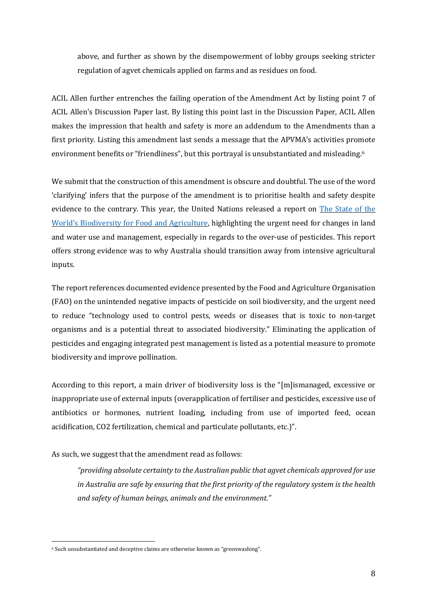above, and further as shown by the disempowerment of lobby groups seeking stricter regulation of agvet chemicals applied on farms and as residues on food.

ACIL Allen further entrenches the failing operation of the Amendment Act by listing point 7 of ACIL Allen's Discussion Paper last. By listing this point last in the Discussion Paper, ACIL Allen makes the impression that health and safety is more an addendum to the Amendments than a first priority. Listing this amendment last sends a message that the APVMA's activities promote environment benefits or "friendliness", but this portrayal is unsubstantiated and misleading.<sup>6</sup>

We submit that the construction of this amendment is obscure and doubtful. The use of the word 'clarifying' infers that the purpose of the amendment is to prioritise health and safety despite evidence to the contrary. This year, the United Nations released a report on The [State](http://www.fao.org/3/CA3129EN/ca3129en.pdf) of the World's [Biodiversity](http://www.fao.org/3/CA3129EN/ca3129en.pdf) for Food and Agriculture, highlighting the urgent need for changes in land and water use and management, especially in regards to the over-use of pesticides. This report offers strong evidence was to why Australia should transition away from intensive agricultural inputs.

The report references documented evidence presented by the Food and Agriculture Organisation (FAO) on the unintended negative impacts of pesticide on soil biodiversity, and the urgent need to reduce "technology used to control pests, weeds or diseases that is toxic to non-target organisms and is a potential threat to associated biodiversity." Eliminating the application of pesticides and engaging integrated pest management is listed as a potential measure to promote biodiversity and improve pollination.

According to this report, a main driver of biodiversity loss is the "[m]ismanaged, excessive or inappropriate use of external inputs (overapplication of fertiliser and pesticides, excessive use of antibiotics or hormones, nutrient loading, including from use of imported feed, ocean acidification, CO2 fertilization, chemical and particulate pollutants, etc.)".

As such, we suggest that the amendment read as follows:

*"providing absolute certainty to the Australian public that agvet chemicals approved for use in Australia are safe by ensuring that the first priority of the regulatory system is the health and safety of human beings, animals and the environment."*

<sup>6</sup> Such unsubstantiated and deceptive claims are otherwise known as "greenwashing".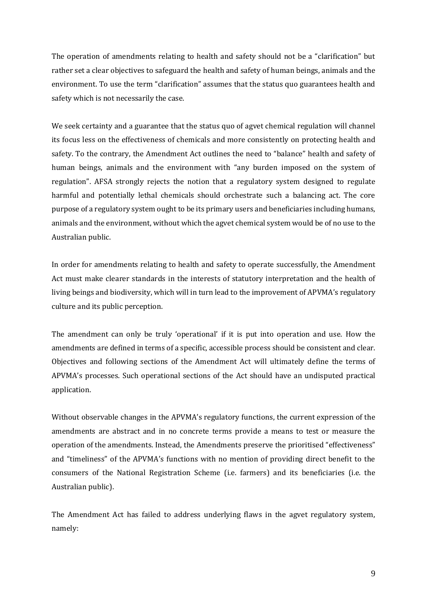The operation of amendments relating to health and safety should not be a "clarification" but rather set a clear objectives to safeguard the health and safety of human beings, animals and the environment. To use the term "clarification" assumes that the status quo guarantees health and safety which is not necessarily the case.

We seek certainty and a guarantee that the status quo of agvet chemical regulation will channel its focus less on the effectiveness of chemicals and more consistently on protecting health and safety. To the contrary, the Amendment Act outlines the need to "balance" health and safety of human beings, animals and the environment with "any burden imposed on the system of regulation". AFSA strongly rejects the notion that a regulatory system designed to regulate harmful and potentially lethal chemicals should orchestrate such a balancing act. The core purpose of a regulatory system ought to be its primary users and beneficiaries including humans, animals and the environment, without which the agvet chemical system would be of no use to the Australian public.

In order for amendments relating to health and safety to operate successfully, the Amendment Act must make clearer standards in the interests of statutory interpretation and the health of living beings and biodiversity, which will in turn lead to the improvement of APVMA's regulatory culture and its public perception.

The amendment can only be truly 'operational' if it is put into operation and use. How the amendments are defined in terms of a specific, accessible process should be consistent and clear. Objectives and following sections of the Amendment Act will ultimately define the terms of APVMA's processes. Such operational sections of the Act should have an undisputed practical application.

Without observable changes in the APVMA's regulatory functions, the current expression of the amendments are abstract and in no concrete terms provide a means to test or measure the operation of the amendments. Instead, the Amendments preserve the prioritised "effectiveness" and "timeliness" of the APVMA's functions with no mention of providing direct benefit to the consumers of the National Registration Scheme (i.e. farmers) and its beneficiaries (i.e. the Australian public).

The Amendment Act has failed to address underlying flaws in the agvet regulatory system, namely: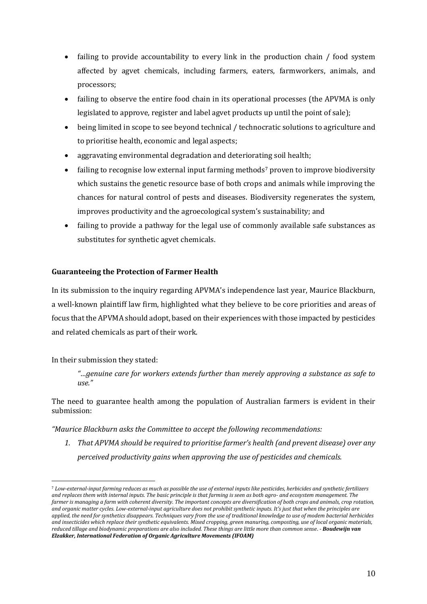- failing to provide accountability to every link in the production chain / food system affected by agvet chemicals, including farmers, eaters, farmworkers, animals, and processors;
- failing to observe the entire food chain in its operational processes (the APVMA is only legislated to approve, register and label agvet products up until the point of sale);
- being limited in scope to see beyond technical / technocratic solutions to agriculture and to prioritise health, economic and legal aspects;
- aggravating environmental degradation and deteriorating soil health;
- failing to recognise low external input farming methods<sup>7</sup> proven to improve biodiversity which sustains the genetic resource base of both crops and animals while improving the chances for natural control of pests and diseases. Biodiversity regenerates the system, improves productivity and the agroecological system's sustainability; and
- failing to provide a pathway for the legal use of commonly available safe substances as substitutes for synthetic agvet chemicals.

# **Guaranteeing the Protection of Farmer Health**

In its submission to the inquiry regarding APVMA's independence last year, Maurice Blackburn, a well-known plaintiff law firm, highlighted what they believe to be core priorities and areas of focus that the APVMA should adopt, based on their experiences with those impacted by pesticides and related chemicals as part of their work.

## In their submission they stated:

 $\overline{a}$ 

*"…genuine care for workers extends further than merely approving a substance as safe to use."*

The need to guarantee health among the population of Australian farmers is evident in their submission:

*"Maurice Blackburn asks the Committee to accept the following recommendations:*

*1. That APVMA should be required to prioritise farmer's health (and prevent disease) over any perceived productivity gains when approving the use of pesticides and chemicals.*

<sup>7</sup> *Low-external-input farming reduces as much as possible the use of external inputs like pesticides, herbicides and synthetic fertilizers and replaces them with internal inputs. The basic principle is that farming is seen as both agro- and ecosystem management. The farmer is managing a farm with coherent diversity. The important concepts are diversification of both crops and animals, crop rotation, and organic matter cycles. Low-external-input agriculture does not prohibit synthetic inputs. It's just that when the principles are applied, the need for synthetics disappears. Techniques vary from the use of traditional knowledge to use of modem bacterial herbicides and insecticides which replace their synthetic equivalents. Mixed cropping, green manuring, composting, use of local organic materials, reduced tillage and biodynamic preparations are also included. These things are little more than common sense*. - *Boudewijn van Elzakker, International Federation of Organic Agriculture Movements (IFOAM)*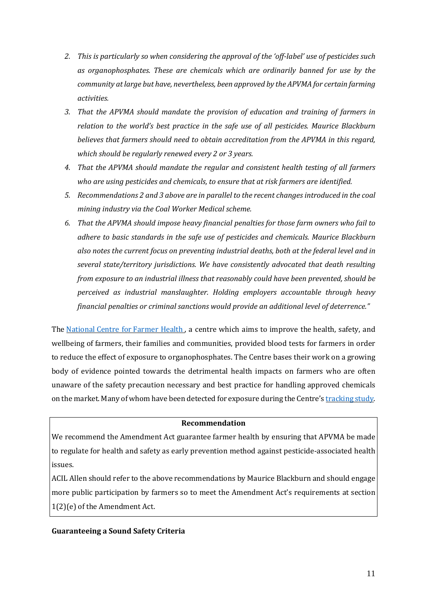- *2. This is particularly so when considering the approval of the 'off-label' use of pesticides such as organophosphates. These are chemicals which are ordinarily banned for use by the community atlarge but have, nevertheless, been approved by the APVMA for certain farming activities.*
- *3. That the APVMA should mandate the provision of education and training of farmers in relation to the world's best practice in the safe use of all pesticides. Maurice Blackburn believes that farmers should need to obtain accreditation from the APVMA in this regard, which should be regularly renewed every 2 or 3 years.*
- *4. That the APVMA should mandate the regular and consistent health testing of all farmers who are using pesticides and chemicals, to ensure that at risk farmers are identified.*
- *5. Recommendations 2 and 3 above are in parallel to the recent changes introduced in the coal mining industry via the Coal Worker Medical scheme.*
- *6. That the APVMA should impose heavy financial penalties for those farm owners who fail to adhere to basic standards in the safe use of pesticides and chemicals. Maurice Blackburn also notes the current focus on preventing industrial deaths, both at the federal level and in several state/territory jurisdictions. We have consistently advocated that death resulting from exposure to an industrial illness that reasonably could have been prevented, should be perceived as industrial manslaughter. Holding employers accountable through heavy financial penalties or criminal sanctions would provide an additional level of deterrence."*

The [National](https://www.farmerhealth.org.au/) Centre for Farmer Health, a centre which aims to improve the health, safety, and wellbeing of farmers, their families and communities, provided blood tests for farmers in order to reduce the effect of exposure to organophosphates. The Centre bases their work on a growing body of evidence pointed towards the detrimental health impacts on farmers who are often unaware of the safety precaution necessary and best practice for handling approved chemicals on the market. Many of whom have been detected for exposure during the Centre's [tracking](https://www.farmerhealth.org.au/page/latest-farmer-health-in-the-news-2018/2018-02-05-blood-test-farmers-using-pesticides-chemical-key-preventing-long-term-health-problems-abc-news) study.

### **Recommendation**

We recommend the Amendment Act guarantee farmer health by ensuring that APVMA be made to regulate for health and safety as early prevention method against pesticide-associated health issues.

ACIL Allen should refer to the above recommendations by Maurice Blackburn and should engage more public participation by farmers so to meet the Amendment Act's requirements at section 1(2)(e) of the Amendment Act.

#### **Guaranteeing a Sound Safety Criteria**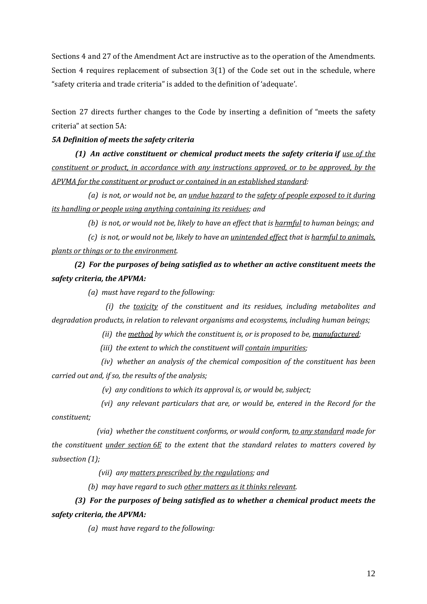Sections 4 and 27 of the Amendment Act are instructive as to the operation of the Amendments. Section 4 requires replacement of subsection 3(1) of the Code set out in the schedule, where "safety criteria and trade criteria" is added to the definition of 'adequate'.

Section 27 directs further changes to the Code by inserting a definition of "meets the safety criteria" at section 5A:

## *5A Definition of meets the safety criteria*

 *(1) An active constituent or chemical product meets the safety criteria if use of the constituent or product, in accordance with any instructions approved, or to be approved, by the APVMA for the constituent or product or contained in an established standard:*

 *(a) is not, or would not be, an undue hazard to the safety of people exposed to it during its handling or people using anything containing its residues; and*

 *(b) is not, or would not be, likely to have an effect that is harmful to human beings; and*

 *(c) is not, or would not be, likely to have an unintended effect that is harmful to animals, plants or things or to the environment.*

 *(2) For the purposes of being satisfied as to whether an active constituent meets the safety criteria, the APVMA:*

 *(a) must have regard to the following:*

 *(i) the toxicity of the constituent and its residues, including metabolites and degradation products, in relation to relevant organisms and ecosystems, including human beings;*

 *(ii) the method by which the constituent is, or is proposed to be, manufactured;*

 *(iii) the extent to which the constituent will contain impurities;*

 *(iv) whether an analysis of the chemical composition of the constituent has been carried out and, if so, the results of the analysis;*

 *(v) any conditions to which its approval is, or would be, subject;*

 *(vi) any relevant particulars that are, or would be, entered in the Record for the constituent;*

 *(via) whether the constituent conforms, or would conform, to any standard made for the constituent under section 6E to the extent that the standard relates to matters covered by subsection (1);*

 *(vii) any matters prescribed by the regulations; and*

 *(b) may have regard to such other matters as it thinks relevant.*

# *(3) For the purposes of being satisfied as to whether a chemical product meets the safety criteria, the APVMA:*

 *(a) must have regard to the following:*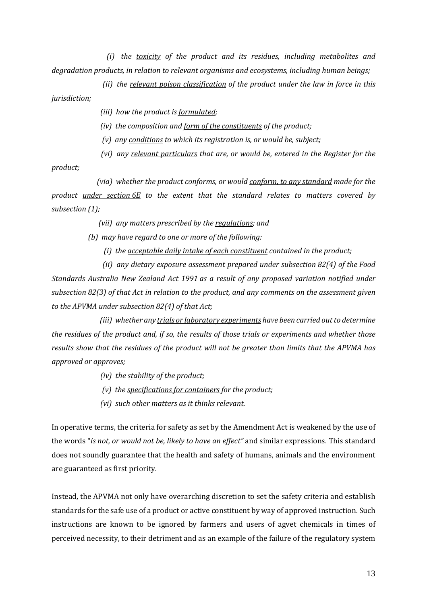*(i) the toxicity of the product and its residues, including metabolites and degradation products, in relation to relevant organisms and ecosystems, including human beings;*

 *(ii) the relevant poison classification of the product under the law in force in this jurisdiction;*

- *(iii) how the product is formulated;*
- *(iv) the composition and form of the constituents of the product;*
- *(v) any conditions to which its registration is, or would be, subject;*
- *(vi) any relevant particulars that are, or would be, entered in the Register for the*

*product;*

 *(via) whether the product conforms, or would conform, to any standard made for the product under section 6E to the extent that the standard relates to matters covered by subsection (1);*

 *(vii) any matters prescribed by the regulations; and*

 *(b) may have regard to one or more of the following:*

 *(i) the acceptable daily intake of each constituent contained in the product;*

 *(ii) any dietary exposure assessment prepared under subsection 82(4) of the Food Standards Australia New Zealand Act 1991 as a result of any proposed variation notified under subsection 82(3) of that Act in relation to the product, and any comments on the assessment given to the APVMA under subsection 82(4) of that Act;*

 *(iii) whether any trials or laboratory experiments have been carried outto determine* the residues of the product and, if so, the results of those trials or experiments and whether those *results show that the residues of the product will not be greater than limits that the APVMA has approved or approves;*

- *(iv) the stability of the product;*
- *(v) the specifications for containers for the product;*
- *(vi) such other matters as it thinks relevant.*

In operative terms, the criteria for safety as set by the Amendment Act is weakened by the use of the words "*is not, or would not be, likely to have an effect"* and similar expressions. This standard does not soundly guarantee that the health and safety of humans, animals and the environment are guaranteed as first priority.

Instead, the APVMA not only have overarching discretion to set the safety criteria and establish standards for the safe use of a product or active constituent by way of approved instruction. Such instructions are known to be ignored by farmers and users of agvet chemicals in times of perceived necessity, to their detriment and as an example of the failure of the regulatory system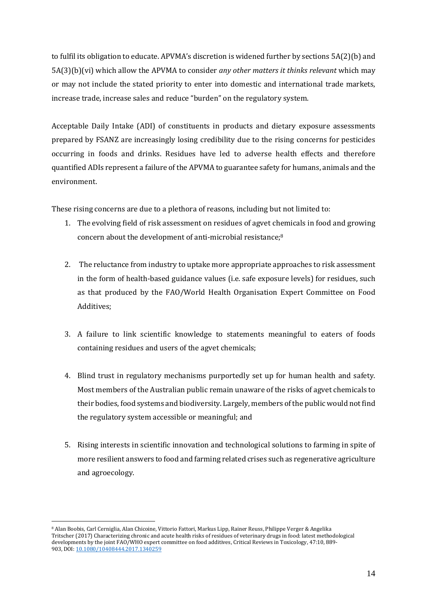to fulfil its obligation to educate. APVMA's discretion is widened further by sections 5A(2)(b) and 5A(3)(b)(vi) which allow the APVMA to consider *any other matters it thinks relevant* which may or may not include the stated priority to enter into domestic and international trade markets, increase trade, increase sales and reduce "burden" on the regulatory system.

Acceptable Daily Intake (ADI) of constituents in products and dietary exposure assessments prepared by FSANZ are increasingly losing credibility due to the rising concerns for pesticides occurring in foods and drinks. Residues have led to adverse health effects and therefore quantified ADIs represent a failure of the APVMA to guarantee safety for humans, animals and the environment.

These rising concerns are due to a plethora of reasons, including but not limited to:

- 1. The evolving field of risk assessment on residues of agvet chemicals in food and growing concern about the development of anti-microbial resistance;<sup>8</sup>
- 2. The reluctance from industry to uptake more appropriate approaches to risk assessment in the form of health-based guidance values (i.e. safe exposure levels) for residues, such as that produced by the FAO/World Health Organisation Expert Committee on Food Additives;
- 3. A failure to link scientific knowledge to statements meaningful to eaters of foods containing residues and users of the agvet chemicals;
- 4. Blind trust in regulatory mechanisms purportedly set up for human health and safety. Most members of the Australian public remain unaware of the risks of agvet chemicals to their bodies, food systems and biodiversity. Largely, members of the public would not find the regulatory system accessible or meaningful; and
- 5. Rising interests in scientific innovation and technological solutions to farming in spite of more resilient answers to food and farming related crises such as regenerative agriculture and agroecology.

<sup>8</sup> Alan Boobis, Carl Cerniglia, Alan Chicoine, Vittorio Fattori, Markus Lipp, Rainer Reuss, Philippe Verger & Angelika Tritscher (2017) Characterizing chronic and acute health risks of residues of veterinary drugs in food: latest methodological developments by the joint FAO/WHO expert committee on food additives, Critical Reviews in Toxicology, 47:10, 889- 903, DOI: [10.1080/10408444.2017.1340259](https://doi.org/10.1080/10408444.2017.1340259)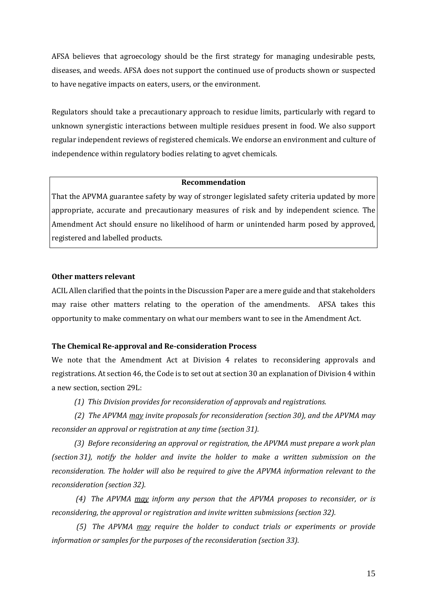AFSA believes that agroecology should be the first strategy for managing undesirable pests, diseases, and weeds. AFSA does not support the continued use of products shown or suspected to have negative impacts on eaters, users, or the environment.

Regulators should take a precautionary approach to residue limits, particularly with regard to unknown synergistic interactions between multiple residues present in food. We also support regular independent reviews of registered chemicals. We endorse an environment and culture of independence within regulatory bodies relating to agvet chemicals.

#### **Recommendation**

That the APVMA guarantee safety by way of stronger legislated safety criteria updated by more appropriate, accurate and precautionary measures of risk and by independent science. The Amendment Act should ensure no likelihood of harm or unintended harm posed by approved, registered and labelled products.

#### **Other matters relevant**

ACIL Allen clarified that the points in the Discussion Paper are a mere guide and that stakeholders may raise other matters relating to the operation of the amendments. AFSA takes this opportunity to make commentary on what our members want to see in the Amendment Act.

#### **The Chemical Re-approval and Re-consideration Process**

We note that the Amendment Act at Division 4 relates to reconsidering approvals and registrations. At section 46, the Code is to set out at section 30 an explanation of Division 4 within a new section, section 29L:

 *(1) This Division provides for reconsideration of approvals and registrations.*

 *(2) The APVMA may invite proposals for reconsideration (section 30), and the APVMA may reconsider an approval or registration at any time (section 31).*

 *(3) Before reconsidering an approval or registration, the APVMA must prepare a work plan (section 31), notify the holder and invite the holder to make a written submission on the reconsideration. The holder will also be required to give the APVMA information relevant to the reconsideration (section 32).*

 *(4) The APVMA may inform any person that the APVMA proposes to reconsider, or is reconsidering, the approval or registration and invite written submissions (section 32).*

 *(5) The APVMA may require the holder to conduct trials or experiments or provide information or samples for the purposes of the reconsideration (section 33).*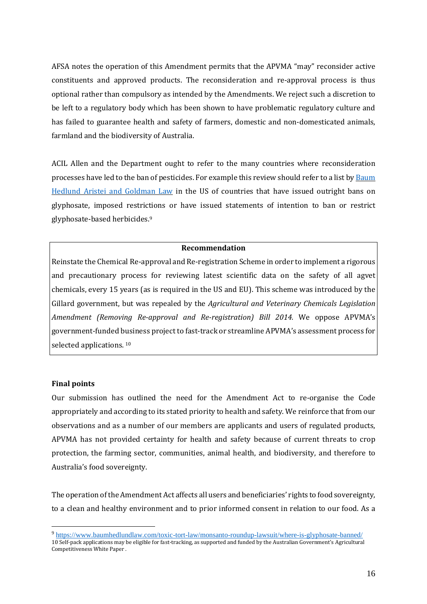AFSA notes the operation of this Amendment permits that the APVMA "may" reconsider active constituents and approved products. The reconsideration and re-approval process is thus optional rather than compulsory as intended by the Amendments. We reject such a discretion to be left to a regulatory body which has been shown to have problematic regulatory culture and has failed to guarantee health and safety of farmers, domestic and non-domesticated animals, farmland and the biodiversity of Australia.

ACIL Allen and the Department ought to refer to the many countries where reconsideration processes have led to the ban of pesticides. For example this review should refer to a list by [Baum](https://www.baumhedlundlaw.com/toxic-tort-law/monsanto-roundup-lawsuit/where-is-glyphosate-banned/) Hedlund Aristei and [Goldman](https://www.baumhedlundlaw.com/toxic-tort-law/monsanto-roundup-lawsuit/where-is-glyphosate-banned/) Law in the US of countries that have issued outright bans on glyphosate, imposed restrictions or have issued statements of intention to ban or restrict glyphosate-based herbicides.<sup>9</sup>

#### **Recommendation**

Reinstate the Chemical Re-approval and Re-registration Scheme in order to implement a rigorous and precautionary process for reviewing latest scientific data on the safety of all agvet chemicals, every 15 years (as is required in the US and EU). This scheme was introduced by the Gillard government, but was repealed by the *Agricultural and Veterinary Chemicals Legislation Amendment (Removing Re-approval and Re-registration) Bill 2014.* We oppose APVMA's government-funded business project to fast-track or streamline APVMA's assessment process for selected applications.<sup>10</sup>

#### **Final points**

 $\overline{a}$ 

Our submission has outlined the need for the Amendment Act to re-organise the Code appropriately and according to its stated priority to health and safety. We reinforce that from our observations and as a number of our members are applicants and users of regulated products, APVMA has not provided certainty for health and safety because of current threats to crop protection, the farming sector, communities, animal health, and biodiversity, and therefore to Australia's food sovereignty.

The operation ofthe Amendment Act affects all users and beneficiaries' rights to food sovereignty, to a clean and healthy environment and to prior informed consent in relation to our food. As a

<sup>9</sup> <https://www.baumhedlundlaw.com/toxic-tort-law/monsanto-roundup-lawsuit/where-is-glyphosate-banned/> 10 Self-pack applications may be eligible for fast-tracking, as supported and funded by the Australian Government's [Agricultural](https://apvma.gov.au/node/18911)  [Competitiveness White Paper](https://apvma.gov.au/node/18911) .